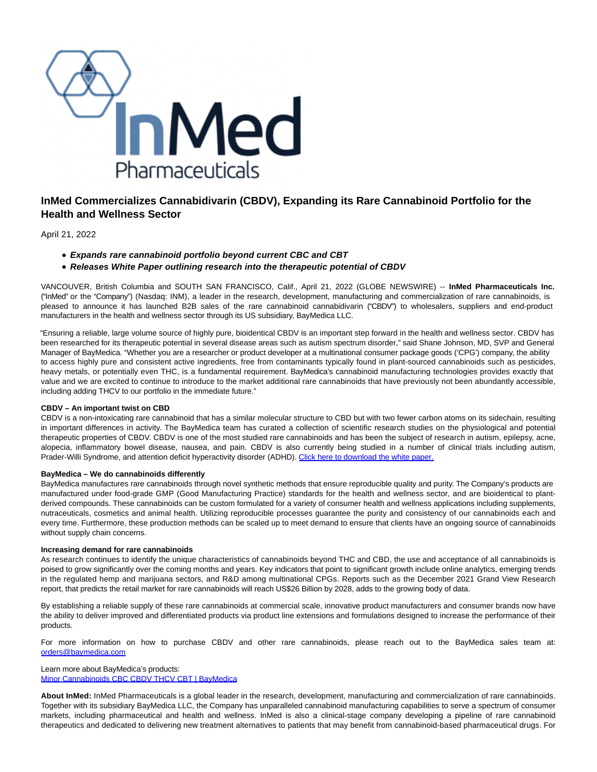

# **InMed Commercializes Cannabidivarin (CBDV), Expanding its Rare Cannabinoid Portfolio for the Health and Wellness Sector**

April 21, 2022

- **Expands rare cannabinoid portfolio beyond current CBC and CBT**
- **Releases White Paper outlining research into the therapeutic potential of CBDV**

VANCOUVER, British Columbia and SOUTH SAN FRANCISCO, Calif., April 21, 2022 (GLOBE NEWSWIRE) -- **InMed Pharmaceuticals Inc.** ("InMed" or the "Company") (Nasdaq: INM), a leader in the research, development, manufacturing and commercialization of rare cannabinoids, is pleased to announce it has launched B2B sales of the rare cannabinoid cannabidivarin ("CBDV") to wholesalers, suppliers and end-product manufacturers in the health and wellness sector through its US subsidiary, BayMedica LLC.

"Ensuring a reliable, large volume source of highly pure, bioidentical CBDV is an important step forward in the health and wellness sector. CBDV has been researched for its therapeutic potential in several disease areas such as autism spectrum disorder," said Shane Johnson, MD, SVP and General Manager of BayMedica. "Whether you are a researcher or product developer at a multinational consumer package goods ('CPG') company, the ability to access highly pure and consistent active ingredients, free from contaminants typically found in plant-sourced cannabinoids such as pesticides, heavy metals, or potentially even THC, is a fundamental requirement. BayMedica's cannabinoid manufacturing technologies provides exactly that value and we are excited to continue to introduce to the market additional rare cannabinoids that have previously not been abundantly accessible, including adding THCV to our portfolio in the immediate future."

# **CBDV – An important twist on CBD**

CBDV is a non-intoxicating rare cannabinoid that has a similar molecular structure to CBD but with two fewer carbon atoms on its sidechain, resulting in important differences in activity. The BayMedica team has curated a collection of scientific research studies on the physiological and potential therapeutic properties of CBDV. CBDV is one of the most studied rare cannabinoids and has been the subject of research in autism, epilepsy, acne, alopecia, inflammatory bowel disease, nausea, and pain. CBDV is also currently being studied in a number of clinical trials including autism, Prader-Willi Syndrome, and attention deficit hyperactivity disorder (ADHD). [Click here to download the white paper.](https://www.globenewswire.com/Tracker?data=RGzh-q9DZIluPQ6CEHMz8fa1yOi_zE0Jm8ZQ-8SQ_xtzQQu97sTN7feETz-TKrpmBfMa-GxmCeLo-ES-yrp7D6pdTBS4FuFSm8qhgVDS15y5TKvyzXXEmZnvaYaoRgzsQqpCFZy6DW_bxdFtE1L3eQ==)

# **BayMedica – We do cannabinoids differently**

BayMedica manufactures rare cannabinoids through novel synthetic methods that ensure reproducible quality and purity. The Company's products are manufactured under food-grade GMP (Good Manufacturing Practice) standards for the health and wellness sector, and are bioidentical to plantderived compounds. These cannabinoids can be custom formulated for a variety of consumer health and wellness applications including supplements, nutraceuticals, cosmetics and animal health. Utilizing reproducible processes guarantee the purity and consistency of our cannabinoids each and every time. Furthermore, these production methods can be scaled up to meet demand to ensure that clients have an ongoing source of cannabinoids without supply chain concerns.

#### **Increasing demand for rare cannabinoids**

As research continues to identify the unique characteristics of cannabinoids beyond THC and CBD, the use and acceptance of all cannabinoids is poised to grow significantly over the coming months and years. Key indicators that point to significant growth include online analytics, emerging trends in the regulated hemp and marijuana sectors, and R&D among multinational CPGs. Reports such as the December 2021 Grand View Research report, that predicts the retail market for rare cannabinoids will reach US\$26 Billion by 2028, adds to the growing body of data.

By establishing a reliable supply of these rare cannabinoids at commercial scale, innovative product manufacturers and consumer brands now have the ability to deliver improved and differentiated products via product line extensions and formulations designed to increase the performance of their products.

For more information on how to purchase CBDV and other rare cannabinoids, please reach out to the BayMedica sales team at: [orders@baymedica.com](https://www.globenewswire.com/Tracker?data=24fy4fB1o_cI9L6aJFpWAuV0wDzc7wovfeTMRrClZVR-IgW1KEugN0RMeW9a8c3BgWQ3yeolMy5W8zm3IAXV_49z264st3cTMujePDaRi8M=)

# Learn more about BayMedica's products: [Minor Cannabinoids CBC CBDV THCV CBT | BayMedica](https://www.globenewswire.com/Tracker?data=Skyq0xmUMhK0vaCuyHESbtB80P4sZ0rgRYMp0DGNBINI44fkf3N9LL_PHqDbOCusnev_FykHxTozSQWOo-e7LDwckJT_jLGzp2rHRFBufabXntkLIgS6mv35SRIRbgtYsKUMtHFwzZBF88meRip4jCc2ugotT6gmT5ZruU_cbD4=)

**About InMed:** InMed Pharmaceuticals is a global leader in the research, development, manufacturing and commercialization of rare cannabinoids. Together with its subsidiary BayMedica LLC, the Company has unparalleled cannabinoid manufacturing capabilities to serve a spectrum of consumer markets, including pharmaceutical and health and wellness. InMed is also a clinical-stage company developing a pipeline of rare cannabinoid therapeutics and dedicated to delivering new treatment alternatives to patients that may benefit from cannabinoid-based pharmaceutical drugs. For